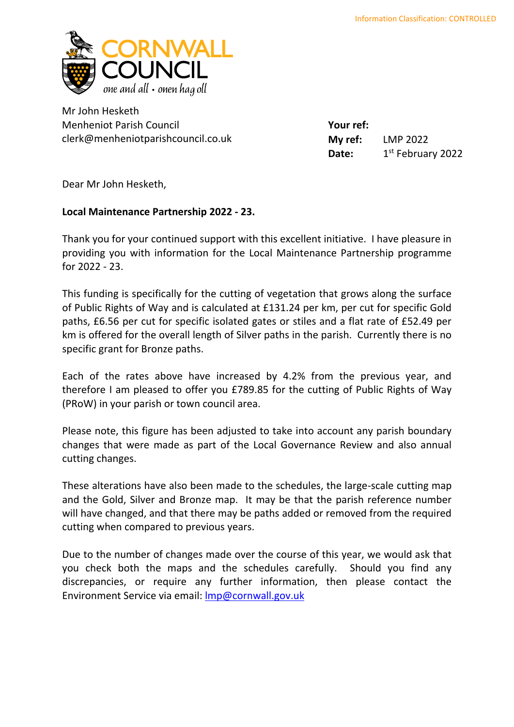

Mr John Hesketh Menheniot Parish Council clerk@menheniotparishcouncil.co.uk

**Your ref: My ref:** LMP 2022 Date: 1st February 2022

Dear Mr John Hesketh,

## **Local Maintenance Partnership 2022 - 23.**

Thank you for your continued support with this excellent initiative. I have pleasure in providing you with information for the Local Maintenance Partnership programme for 2022 - 23.

This funding is specifically for the cutting of vegetation that grows along the surface of Public Rights of Way and is calculated at £131.24 per km, per cut for specific Gold paths, £6.56 per cut for specific isolated gates or stiles and a flat rate of £52.49 per km is offered for the overall length of Silver paths in the parish. Currently there is no specific grant for Bronze paths.

Each of the rates above have increased by 4.2% from the previous year, and therefore I am pleased to offer you £789.85 for the cutting of Public Rights of Way (PRoW) in your parish or town council area.

Please note, this figure has been adjusted to take into account any parish boundary changes that were made as part of the Local Governance Review and also annual cutting changes.

These alterations have also been made to the schedules, the large-scale cutting map and the Gold, Silver and Bronze map. It may be that the parish reference number will have changed, and that there may be paths added or removed from the required cutting when compared to previous years.

Due to the number of changes made over the course of this year, we would ask that you check both the maps and the schedules carefully. Should you find any discrepancies, or require any further information, then please contact the Environment Service via email: [lmp@cornwall.gov.uk](mailto:lmp@cornwall.gov.uk)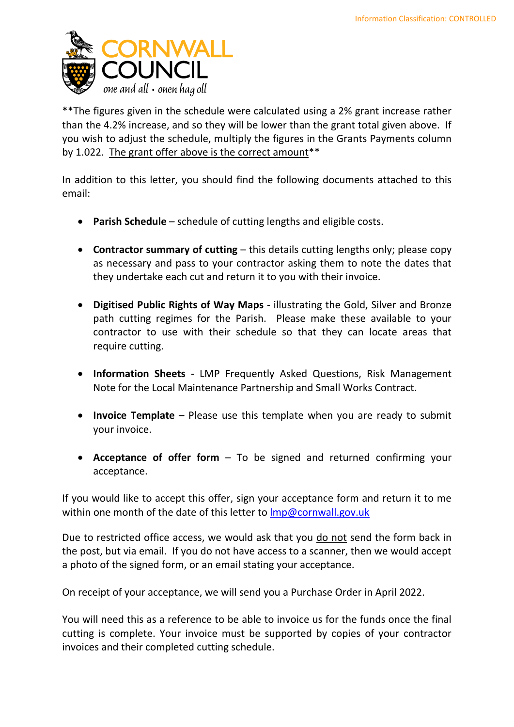

\*\*The figures given in the schedule were calculated using a 2% grant increase rather than the 4.2% increase, and so they will be lower than the grant total given above. If you wish to adjust the schedule, multiply the figures in the Grants Payments column by 1.022. The grant offer above is the correct amount<sup>\*\*</sup>

In addition to this letter, you should find the following documents attached to this email:

- **Parish Schedule** schedule of cutting lengths and eligible costs.
- **Contractor summary of cutting** this details cutting lengths only; please copy as necessary and pass to your contractor asking them to note the dates that they undertake each cut and return it to you with their invoice.
- **Digitised Public Rights of Way Maps** illustrating the Gold, Silver and Bronze path cutting regimes for the Parish. Please make these available to your contractor to use with their schedule so that they can locate areas that require cutting.
- **Information Sheets** LMP Frequently Asked Questions, Risk Management Note for the Local Maintenance Partnership and Small Works Contract.
- **Invoice Template**  Please use this template when you are ready to submit your invoice.
- **Acceptance of offer form** To be signed and returned confirming your acceptance.

If you would like to accept this offer, sign your acceptance form and return it to me within one month of the date of this letter to  $\text{Imp@cornwall.gov.uk}$ 

Due to restricted office access, we would ask that you do not send the form back in the post, but via email. If you do not have access to a scanner, then we would accept a photo of the signed form, or an email stating your acceptance.

On receipt of your acceptance, we will send you a Purchase Order in April 2022.

You will need this as a reference to be able to invoice us for the funds once the final cutting is complete. Your invoice must be supported by copies of your contractor invoices and their completed cutting schedule.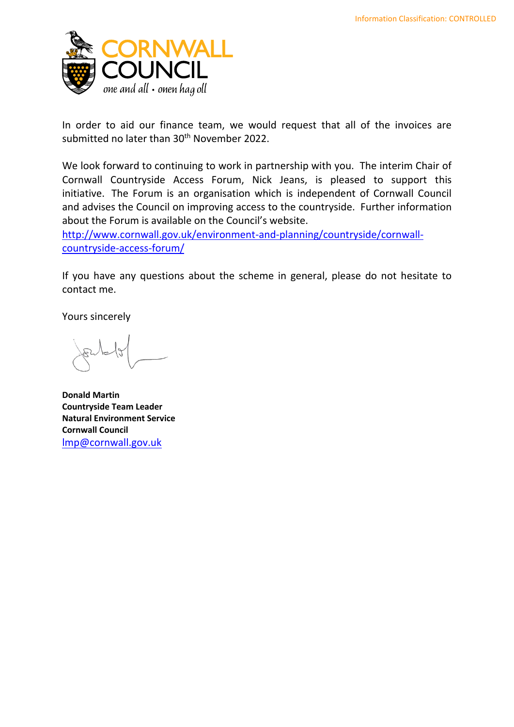

In order to aid our finance team, we would request that all of the invoices are submitted no later than 30<sup>th</sup> November 2022.

We look forward to continuing to work in partnership with you. The interim Chair of Cornwall Countryside Access Forum, Nick Jeans, is pleased to support this initiative. The Forum is an organisation which is independent of Cornwall Council and advises the Council on improving access to the countryside. Further information about the Forum is available on the Council's website.

[http://www.cornwall.gov.uk/environment-and-planning/countryside/cornwall](http://www.cornwall.gov.uk/environment-and-planning/countryside/cornwall-countryside-access-forum/)[countryside-access-forum/](http://www.cornwall.gov.uk/environment-and-planning/countryside/cornwall-countryside-access-forum/)

If you have any questions about the scheme in general, please do not hesitate to contact me.

Yours sincerely

**Donald Martin Countryside Team Leader Natural Environment Service Cornwall Council** [lmp@cornwall.gov.uk](mailto:lmp@cornwall.gov.uk)